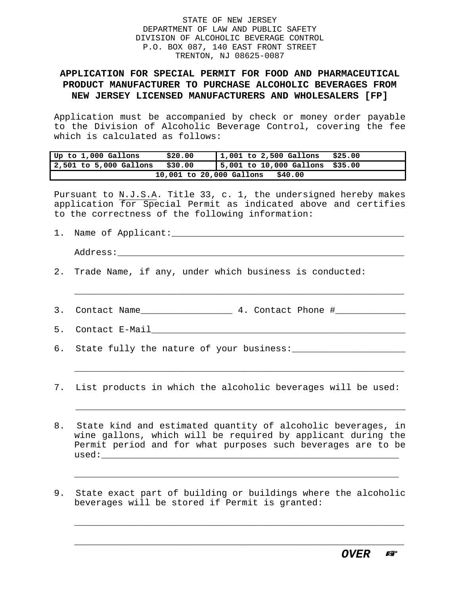## STATE OF NEW JERSEY DEPARTMENT OF LAW AND PUBLIC SAFETY DIVISION OF ALCOHOLIC BEVERAGE CONTROL P.O. BOX 087, 140 EAST FRONT STREET TRENTON, NJ 08625-0087

## **APPLICATION FOR SPECIAL PERMIT FOR FOOD AND PHARMACEUTICAL PRODUCT MANUFACTURER TO PURCHASE ALCOHOLIC BEVERAGES FROM NEW JERSEY LICENSED MANUFACTURERS AND WHOLESALERS [FP]**

Application must be accompanied by check or money order payable to the Division of Alcoholic Beverage Control, covering the fee which is calculated as follows:

| Up to 1,000 Gallons                 | \$20.00 | $ 1,001$ to 2,500 Gallons       | \$25.00 |  |  |
|-------------------------------------|---------|---------------------------------|---------|--|--|
| 2,501 to 5,000 Gallons              | \$30.00 | 5,001 to 10,000 Gallons \$35.00 |         |  |  |
| \$40.00<br>10,001 to 20,000 Gallons |         |                                 |         |  |  |

Pursuant to N.J.S.A. Title 33, c. 1, the undersigned hereby makes application for Special Permit as indicated above and certifies to the correctness of the following information:

| $\overline{\phantom{a}}$<br>. . | Name of Applicant: |  |
|---------------------------------|--------------------|--|
|                                 |                    |  |

Address:\_\_\_\_\_\_\_\_\_\_\_\_\_\_\_\_\_\_\_\_\_\_\_\_\_\_\_\_\_\_\_\_\_\_\_\_\_\_\_\_\_\_\_\_\_\_\_\_\_\_\_\_\_

- 2. Trade Name, if any, under which business is conducted:
- 3. Contact Name\_\_\_\_\_\_\_\_\_\_\_\_\_\_\_\_\_\_\_ 4. Contact Phone #\_\_\_\_\_\_\_\_\_\_\_\_\_\_\_\_\_\_\_\_\_\_\_\_\_\_\_
- 5. Contact E-Mail\_\_\_\_\_\_\_\_\_\_\_\_\_\_\_\_\_\_\_\_\_\_\_\_\_\_\_\_\_\_\_\_\_\_\_\_\_\_\_\_\_\_\_\_\_\_\_

\_\_\_\_\_\_\_\_\_\_\_\_\_\_\_\_\_\_\_\_\_\_\_\_\_\_\_\_\_\_\_\_\_\_\_\_\_\_\_\_\_\_\_\_\_\_\_\_\_\_\_\_\_\_\_\_\_\_\_\_\_

- 6. State fully the nature of your business:\_\_\_\_\_\_\_\_\_\_\_\_\_\_\_\_\_\_\_\_\_
- 7. List products in which the alcoholic beverages will be used:

 $\overline{\phantom{a}}$  , and the contribution of the contribution of the contribution of the contribution of the contribution of the contribution of the contribution of the contribution of the contribution of the contribution of the

\_\_\_\_\_\_\_\_\_\_\_\_\_\_\_\_\_\_\_\_\_\_\_\_\_\_\_\_\_\_\_\_\_\_\_\_\_\_\_\_\_\_\_\_\_\_\_\_\_\_\_\_\_\_\_\_\_\_\_\_\_

- 8. State kind and estimated quantity of alcoholic beverages, in wine gallons, which will be required by applicant during the Permit period and for what purposes such beverages are to be  $used:$
- 9. State exact part of building or buildings where the alcoholic beverages will be stored if Permit is granted:

 $\overline{\phantom{a}}$  , and the contribution of  $\overline{\phantom{a}}$  , and  $\overline{\phantom{a}}$  , and  $\overline{\phantom{a}}$  , and  $\overline{\phantom{a}}$  , and  $\overline{\phantom{a}}$  , and  $\overline{\phantom{a}}$  , and  $\overline{\phantom{a}}$  , and  $\overline{\phantom{a}}$  , and  $\overline{\phantom{a}}$  , and  $\overline{\phantom{a}}$  , and  $\over$ 

\_\_\_\_\_\_\_\_\_\_\_\_\_\_\_\_\_\_\_\_\_\_\_\_\_\_\_\_\_\_\_\_\_\_\_\_\_\_\_\_\_\_\_\_\_\_\_\_\_\_\_\_\_\_\_\_\_\_\_\_\_

\_\_\_\_\_\_\_\_\_\_\_\_\_\_\_\_\_\_\_\_\_\_\_\_\_\_\_\_\_\_\_\_\_\_\_\_\_\_\_\_\_\_\_\_\_\_\_\_\_\_\_\_\_\_\_\_\_\_\_\_\_